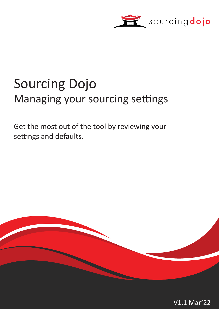

# Sourcing Dojo Managing your sourcing settings

Get the most out of the tool by reviewing your settings and defaults.



V1.1 Mar'22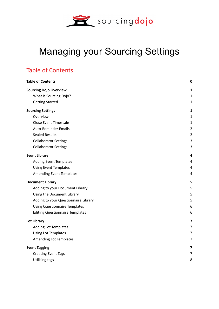

## Managing your Sourcing Settings

## <span id="page-1-0"></span>Table of Contents

| <b>Table of Contents</b>               | $\bf{0}$       |
|----------------------------------------|----------------|
| <b>Sourcing Dojo Overview</b>          | 1              |
| What is Sourcing Dojo?                 | 1              |
| <b>Getting Started</b>                 | $\mathbf{1}$   |
| <b>Sourcing Settings</b>               | $\mathbf{1}$   |
| Overview                               | 1              |
| <b>Close Event Timescale</b>           | $\mathbf{1}$   |
| <b>Auto-Reminder Emails</b>            | $\overline{2}$ |
| <b>Sealed Results</b>                  | $\overline{2}$ |
| <b>Collaborator Settings</b>           | 3              |
| <b>Collaborator Settings</b>           | 3              |
| <b>Event Library</b>                   | 4              |
| <b>Adding Event Templates</b>          | 4              |
| <b>Using Event Templates</b>           | 4              |
| <b>Amending Event Templates</b>        | 4              |
| <b>Document Library</b>                | 5              |
| Adding to your Document Library        | 5              |
| Using the Document Library             | 5              |
| Adding to your Questionnaire Library   | 5              |
| <b>Using Questionnaire Templates</b>   | 6              |
| <b>Editing Questionnaire Templates</b> | 6              |
| <b>Lot Library</b>                     | 7              |
| <b>Adding Lot Templates</b>            | 7              |
| Using Lot Templates                    | 7              |
| Amending Lot Templates                 | 7              |
| <b>Event Tagging</b>                   | 7              |
| <b>Creating Event Tags</b>             | $\overline{7}$ |
| <b>Utilising tags</b>                  | 8              |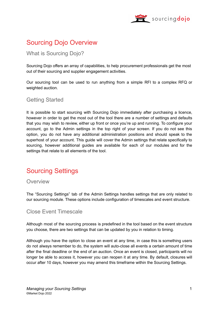

## <span id="page-2-0"></span>Sourcing Dojo Overview

#### <span id="page-2-1"></span>What is Sourcing Dojo?

Sourcing Dojo offers an array of capabilities, to help procurement professionals get the most out of their sourcing and supplier engagement activities.

Our sourcing tool can be used to run anything from a simple RFI to a complex RFQ or weighted auction.

#### <span id="page-2-2"></span>Getting Started

It is possible to start sourcing with Sourcing Dojo immediately after purchasing a licence, however in order to get the most out of the tool there are a number of settings and defaults that you may wish to review, either up front or once you're up and running. To configure your account, go to the Admin settings in the top right of your screen. If you do not see this option, you do not have any additional administration positions and should speak to the superhost of your account. This guide will cover the Admin settings that relate specifically to sourcing, however additional guides are available for each of our modules and for the settings that relate to all elements of the tool.

## <span id="page-2-3"></span>Sourcing Settings

#### <span id="page-2-4"></span>Overview

The "Sourcing Settings" tab of the Admin Settings handles settings that are only related to our sourcing module. These options include configuration of timescales and event structure.

#### <span id="page-2-5"></span>Close Event Timescale

Although most of the sourcing process is predefined in the tool based on the event structure you choose, there are two settings that can be updated by you in relation to timing.

Although you have the option to close an event at any time, in case this is something users do not always remember to do, the system will auto-close all events a certain amount of time after the final deadline or the end of an auction. Once an event is closed, participants will no longer be able to access it, however you can reopen it at any time. By default, closures will occur after 10 days, however you may amend this timeframe within the Sourcing Settings.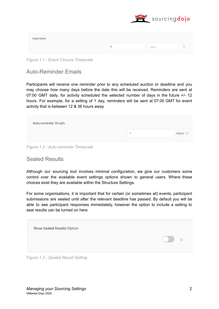

| <b>Close Event</b> |    |        |                          |
|--------------------|----|--------|--------------------------|
|                    | 30 | Day(s) | $\left( i\right)$<br>$-$ |

*Figure 1.1 - Event Closure Timescale*

#### <span id="page-3-0"></span>Auto-Reminder Emails

Participants will receive one reminder prior to any scheduled auction or deadline and you may choose how many days before the date this will be received. Reminders are sent at 07:00 GMT daily, for activity scheduled the selected number of days in the future +/- 12 hours. For example, for a setting of 1 day, reminders will be sent at 07:00 GMT for event activity that is between 12 & 36 hours away.

| <b>Auto-reminder Emails</b> |                |
|-----------------------------|----------------|
|                             | Day(s) $\odot$ |
|                             |                |

*Figure 1.2 - Auto-reminder Timescale*

#### <span id="page-3-1"></span>Sealed Results

Although our sourcing tool involves minimal configuration, we give our customers some control over the available event settings options shown to general users. Where these choices exist they are available within the Structure Settings.

For some organisations, it is important that for certain (or sometimes all) events, participant submissions are sealed until after the relevant deadline has passed. By default you will be able to see participant responses immediately, however the option to include a setting to seal results can be turned on here.

| <b>Show Sealed Results Option</b>                                                                                                                                                                                                                                                                                                                                                                                                                                                          |                                                   |
|--------------------------------------------------------------------------------------------------------------------------------------------------------------------------------------------------------------------------------------------------------------------------------------------------------------------------------------------------------------------------------------------------------------------------------------------------------------------------------------------|---------------------------------------------------|
|                                                                                                                                                                                                                                                                                                                                                                                                                                                                                            | $\begin{pmatrix} 1 \\ 2 \end{pmatrix}$<br>$\circ$ |
| $\blacksquare$ $\blacksquare$ $\blacksquare$ $\blacksquare$ $\blacksquare$ $\blacksquare$ $\blacksquare$ $\blacksquare$ $\blacksquare$ $\blacksquare$ $\blacksquare$ $\blacksquare$ $\blacksquare$ $\blacksquare$ $\blacksquare$ $\blacksquare$ $\blacksquare$ $\blacksquare$ $\blacksquare$ $\blacksquare$ $\blacksquare$ $\blacksquare$ $\blacksquare$ $\blacksquare$ $\blacksquare$ $\blacksquare$ $\blacksquare$ $\blacksquare$ $\blacksquare$ $\blacksquare$ $\blacksquare$ $\blacks$ |                                                   |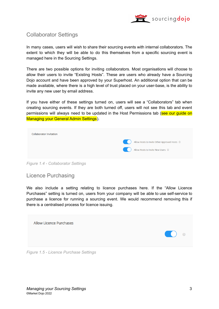

#### <span id="page-4-0"></span>Collaborator Settings

In many cases, users will wish to share their sourcing events with internal collaborators. The extent to which they will be able to do this themselves from a specific sourcing event is managed here in the Sourcing Settings.

There are two possible options for inviting collaborators. Most organisations will choose to allow their users to invite "Existing Hosts". These are users who already have a Sourcing Dojo account and have been approved by your Superhost. An additional option that can be made available, where there is a high level of trust placed on your user-base, is the ability to invite any new user by email address.

If you have either of these settings turned on, users will see a "Collaborators" tab when creating sourcing events. If they are both turned off, users will not see this tab and event permissions will always need to be updated in the Host Permissions tab (see our quide on Managing your General Admin Settings).

| <b>Collaborator Invitation</b> |                                              |
|--------------------------------|----------------------------------------------|
|                                | Allow Hosts to Invite Other Approved Hosts ① |
|                                | Allow Hosts to Invite New Users ①            |
|                                |                                              |

*Figure 1.4 - Collaborator Settings*

#### <span id="page-4-1"></span>Licence Purchasing

We also include a setting relating to licence purchases here. If the "Allow Licence Purchases" setting is turned on, users from your company will be able to use self-service to purchase a licence for running a sourcing event. We would recommend removing this if there is a centralised process for licence issuing.

| <b>Allow Licence Purchases</b><br>$\bigcirc$ $\bigcirc$ |  |
|---------------------------------------------------------|--|
|                                                         |  |

*Figure 1.5 - Licence Purchase Settings*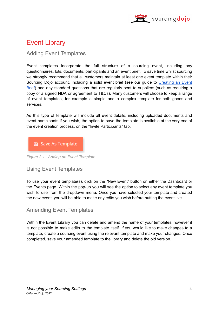

## <span id="page-5-0"></span>Event Library

#### <span id="page-5-1"></span>Adding Event Templates

Event templates incorporate the full structure of a sourcing event, including any questionnaires, lots, documents, participants and an event brief. To save time whilst sourcing we strongly recommend that all customers maintain at least one event template within their Sourcing Dojo account, including a solid event brief (see our guide to [Creating](https://marketdojo.com/resource/creating-an-event-brief/) an Event [Brief\)](https://marketdojo.com/resource/creating-an-event-brief/) and any standard questions that are regularly sent to suppliers (such as requiring a copy of a signed NDA or agreement to T&Cs). Many customers will choose to keep a range of event templates, for example a simple and a complex template for both goods and services.

As this type of template will include all event details, including uploaded documents and event participants if you wish, the option to save the template is available at the very end of the event creation process, on the "Invite Participants" tab.



*Figure 2.1 - Adding an Event Template*

#### <span id="page-5-2"></span>Using Event Templates

To use your event template(s), click on the "New Event" button on either the Dashboard or the Events page. Within the pop-up you will see the option to select any event template you wish to use from the dropdown menu. Once you have selected your template and created the new event, you will be able to make any edits you wish before putting the event live.

#### <span id="page-5-3"></span>Amending Event Templates

Within the Event Library you can delete and amend the name of your templates, however it is not possible to make edits to the template itself. If you would like to make changes to a template, create a sourcing event using the relevant template and make your changes. Once completed, save your amended template to the library and delete the old version.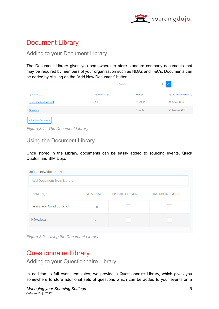

## <span id="page-6-0"></span>Document Library

#### <span id="page-6-1"></span>Adding to your Document Library

The Document Library gives you somewhere to store standard company documents that may be required by members of your organisation such as NDAs and T&Cs. Documents can be added by clicking on the "Add New Document" button.

|                                 |                               | Search    | Q | ø                                |
|---------------------------------|-------------------------------|-----------|---|----------------------------------|
| $\triangle$ NAME $(i)$          | $\Rightarrow$ VERSION $\circ$ | $SIZE$ ①  |   | $\Rightarrow$ DATE OF UPLOAD (i) |
| <b>Terms and Conditions.pdf</b> | 2.0                           | 178.68 KB |   | 26 October 2018                  |
| NDA.docx                        | $\sim$                        | 11.37 KB  |   | 04 December 2018                 |
| + Add New Document              |                               |           |   |                                  |

*Figure 3.1 - The Document Library*

<span id="page-6-2"></span>Using the Document Library

Once stored in the Library, documents can be easily added to sourcing events, Quick Quotes and SIM Dojo.

| Upload new document       |                  |                 |                            |
|---------------------------|------------------|-----------------|----------------------------|
| Add Document from Library |                  |                 | $\overline{\phantom{a}}$   |
| NAME (1)                  | VERSION <b>O</b> | UPLOAD DOCUMENT | INCLUDE IN INVITE <b>O</b> |
| Terms and Conditions.pdf  | 2.0              |                 |                            |
| NDA.docx                  |                  |                 |                            |
|                           |                  |                 |                            |

*Figure 3.2 - Using the Document Library*

## Questionnaire Library

<span id="page-6-3"></span>Adding to your Questionnaire Library

In addition to full event templates, we provide a Questionnaire Library, which gives you somewhere to store additional sets of questions which can be added to your events on a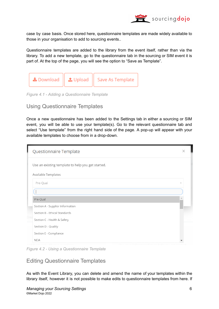

case by case basis. Once stored here, questionnaire templates are made widely available to those in your organisation to add to sourcing events..

Questionnaire templates are added to the library from the event itself, rather than via the library. To add a new template, go to the questionnaire tab in the sourcing or SIM event it is part of. At the top of the page, you will see the option to "Save as Template".



*Figure 4.1 - Adding a Questionnaire Template*

#### <span id="page-7-0"></span>Using Questionnaire Templates

Once a new questionnaire has been added to the Settings tab in either a sourcing or SIM event, you will be able to use your template(s). Go to the relevant questionnaire tab and select "Use template" from the right hand side of the page. A pop-up will appear with your available templates to choose from in a drop-down.

| Questionnaire Template                            |    |
|---------------------------------------------------|----|
| Use an existing template to help you get started. |    |
| Available Templates                               |    |
| Pre-Qual                                          | ×. |
|                                                   |    |
| Pre-Qual                                          |    |
| Section A - Supplier Information                  |    |
| Section B - Ethical Standards                     |    |
| Section C - Health & Safety                       |    |
| Section D - Quality                               |    |
| Section E - Compliance                            |    |
| <b>NDA</b>                                        |    |

*Figure 4.2 - Using a Questionnaire Template*

#### <span id="page-7-1"></span>Editing Questionnaire Templates

As with the Event Library, you can delete and amend the name of your templates within the library itself, however it is not possible to make edits to questionnaire templates from here. If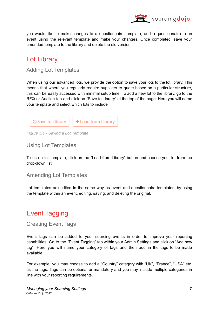

you would like to make changes to a questionnaire template, add a questionnaire to an event using the relevant template and make your changes. Once completed, save your amended template to the library and delete the old version.

### <span id="page-8-0"></span>Lot Library

#### <span id="page-8-1"></span>Adding Lot Templates

When using our advanced lots, we provide the option to save your lots to the lot library. This means that where you regularly require suppliers to quote based on a particular structure, this can be easily accessed with minimal setup time. To add a new lot to the library, go to the RFQ or Auction tab and click on "Save to Library" at the top of the page. Here you will name your template and select which lots to include



*Figure 5.1 - Saving a Lot Template*

#### <span id="page-8-2"></span>Using Lot Templates

To use a lot template, click on the "Load from Library" button and choose your lot from the drop-down list.

#### <span id="page-8-3"></span>Amending Lot Templates

Lot templates are edited in the same way as event and questionnaire templates, by using the template within an event, editing, saving, and deleting the original.

## <span id="page-8-4"></span>Event Tagging

<span id="page-8-5"></span>Creating Event Tags

Event tags can be added to your sourcing events in order to improve your reporting capabilities. Go to the "Event Tagging" tab within your Admin Settings and click on "Add new tag". Here you will name your category of tags and then add in the tags to be made available.

For example, you may choose to add a "Country" category with "UK", "France", "USA" etc. as the tags. Tags can be optional or mandatory and you may include multiple categories in line with your reporting requirements.